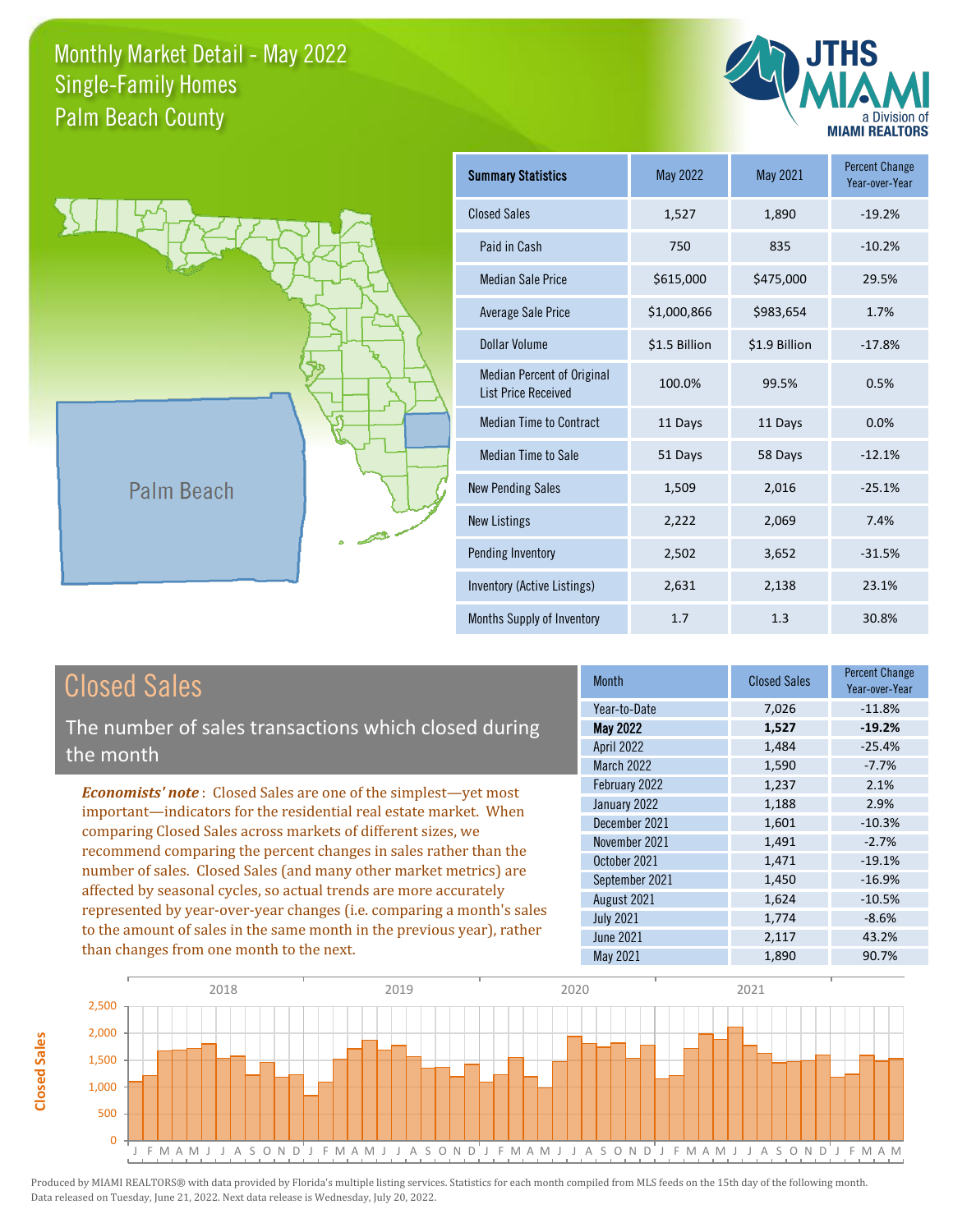



| <b>Summary Statistics</b>                                       | May 2022      | May 2021      | <b>Percent Change</b><br>Year-over-Year |
|-----------------------------------------------------------------|---------------|---------------|-----------------------------------------|
| <b>Closed Sales</b>                                             | 1,527         | 1,890         | $-19.2%$                                |
| Paid in Cash                                                    | 750           | 835           | $-10.2%$                                |
| <b>Median Sale Price</b>                                        | \$615,000     | \$475,000     | 29.5%                                   |
| <b>Average Sale Price</b>                                       | \$1,000,866   | \$983,654     | 1.7%                                    |
| Dollar Volume                                                   | \$1.5 Billion | \$1.9 Billion | $-17.8%$                                |
| <b>Median Percent of Original</b><br><b>List Price Received</b> | 100.0%        | 99.5%         | 0.5%                                    |
| <b>Median Time to Contract</b>                                  | 11 Days       | 11 Days       | 0.0%                                    |
| <b>Median Time to Sale</b>                                      | 51 Days       | 58 Days       | $-12.1%$                                |
| <b>New Pending Sales</b>                                        | 1,509         | 2,016         | $-25.1%$                                |
| <b>New Listings</b>                                             | 2,222         | 2,069         | 7.4%                                    |
| Pending Inventory                                               | 2,502         | 3,652         | $-31.5%$                                |
| Inventory (Active Listings)                                     | 2,631         | 2,138         | 23.1%                                   |
| Months Supply of Inventory                                      | 1.7           | 1.3           | 30.8%                                   |

The number of sales transactions which closed during the month

*Economists' note* : Closed Sales are one of the simplest—yet most important—indicators for the residential real estate market. When comparing Closed Sales across markets of different sizes, we recommend comparing the percent changes in sales rather than the number of sales. Closed Sales (and many other market metrics) are affected by seasonal cycles, so actual trends are more accurately represented by year-over-year changes (i.e. comparing a month's sales to the amount of sales in the same month in the previous year), rather than changes from one month to the next.

| <b>Month</b>      | <b>Closed Sales</b> | <b>Percent Change</b><br>Year-over-Year |
|-------------------|---------------------|-----------------------------------------|
| Year-to-Date      | 7,026               | $-11.8%$                                |
| <b>May 2022</b>   | 1,527               | $-19.2%$                                |
| <b>April 2022</b> | 1,484               | $-25.4%$                                |
| March 2022        | 1,590               | $-7.7%$                                 |
| February 2022     | 1,237               | 2.1%                                    |
| January 2022      | 1,188               | 2.9%                                    |
| December 2021     | 1,601               | $-10.3%$                                |
| November 2021     | 1,491               | $-2.7%$                                 |
| October 2021      | 1,471               | $-19.1%$                                |
| September 2021    | 1,450               | $-16.9%$                                |
| August 2021       | 1,624               | $-10.5%$                                |
| <b>July 2021</b>  | 1,774               | $-8.6%$                                 |
| <b>June 2021</b>  | 2,117               | 43.2%                                   |
| <b>May 2021</b>   | 1,890               | 90.7%                                   |

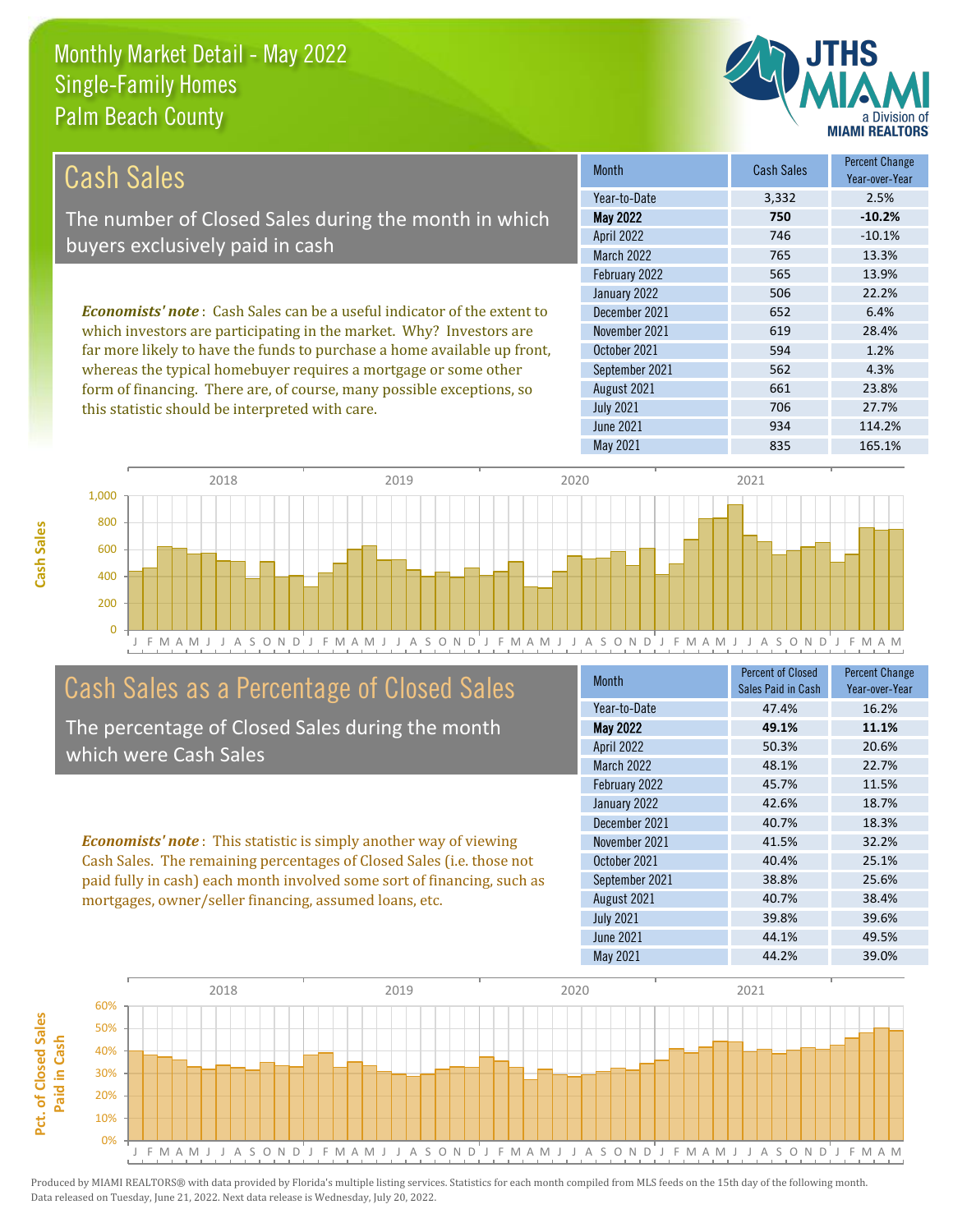this statistic should be interpreted with care.



706 27.7%

| Cash Sales                                                                     | <b>Month</b>      | <b>Cash Sales</b> | <b>Percent Change</b><br>Year-over-Year |
|--------------------------------------------------------------------------------|-------------------|-------------------|-----------------------------------------|
|                                                                                | Year-to-Date      | 3,332             | 2.5%                                    |
| The number of Closed Sales during the month in which                           | <b>May 2022</b>   | 750               | $-10.2%$                                |
| buyers exclusively paid in cash                                                | <b>April 2022</b> | 746               | $-10.1%$                                |
|                                                                                | <b>March 2022</b> | 765               | 13.3%                                   |
|                                                                                | February 2022     | 565               | 13.9%                                   |
|                                                                                | January 2022      | 506               | 22.2%                                   |
| <b>Economists' note:</b> Cash Sales can be a useful indicator of the extent to | December 2021     | 652               | 6.4%                                    |
| which investors are participating in the market. Why? Investors are            | November 2021     | 619               | 28.4%                                   |
| far more likely to have the funds to purchase a home available up front,       | October 2021      | 594               | 1.2%                                    |
| whereas the typical homebuyer requires a mortgage or some other                | September 2021    | 562               | 4.3%                                    |
| form of financing. There are, of course, many possible exceptions, so          | August 2021       | 661               | 23.8%                                   |

July 2021



# Cash Sales as a Percentage of Closed Sales

The percentage of Closed Sales during the month which were Cash Sales

*Economists' note* : This statistic is simply another way of viewing Cash Sales. The remaining percentages of Closed Sales (i.e. those not paid fully in cash) each month involved some sort of financing, such as mortgages, owner/seller financing, assumed loans, etc.

| <b>Month</b>     | <b>Percent of Closed</b><br>Sales Paid in Cash | <b>Percent Change</b><br>Year-over-Year |
|------------------|------------------------------------------------|-----------------------------------------|
| Year-to-Date     | 47.4%                                          | 16.2%                                   |
| <b>May 2022</b>  | 49.1%                                          | 11.1%                                   |
| April 2022       | 50.3%                                          | 20.6%                                   |
| March 2022       | 48.1%                                          | 22.7%                                   |
| February 2022    | 45.7%                                          | 11.5%                                   |
| January 2022     | 42.6%                                          | 18.7%                                   |
| December 2021    | 40.7%                                          | 18.3%                                   |
| November 2021    | 41.5%                                          | 32.2%                                   |
| October 2021     | 40.4%                                          | 25.1%                                   |
| September 2021   | 38.8%                                          | 25.6%                                   |
| August 2021      | 40.7%                                          | 38.4%                                   |
| <b>July 2021</b> | 39.8%                                          | 39.6%                                   |
| <b>June 2021</b> | 44.1%                                          | 49.5%                                   |
| May 2021         | 44.2%                                          | 39.0%                                   |

June 2021 **934** 114.2%

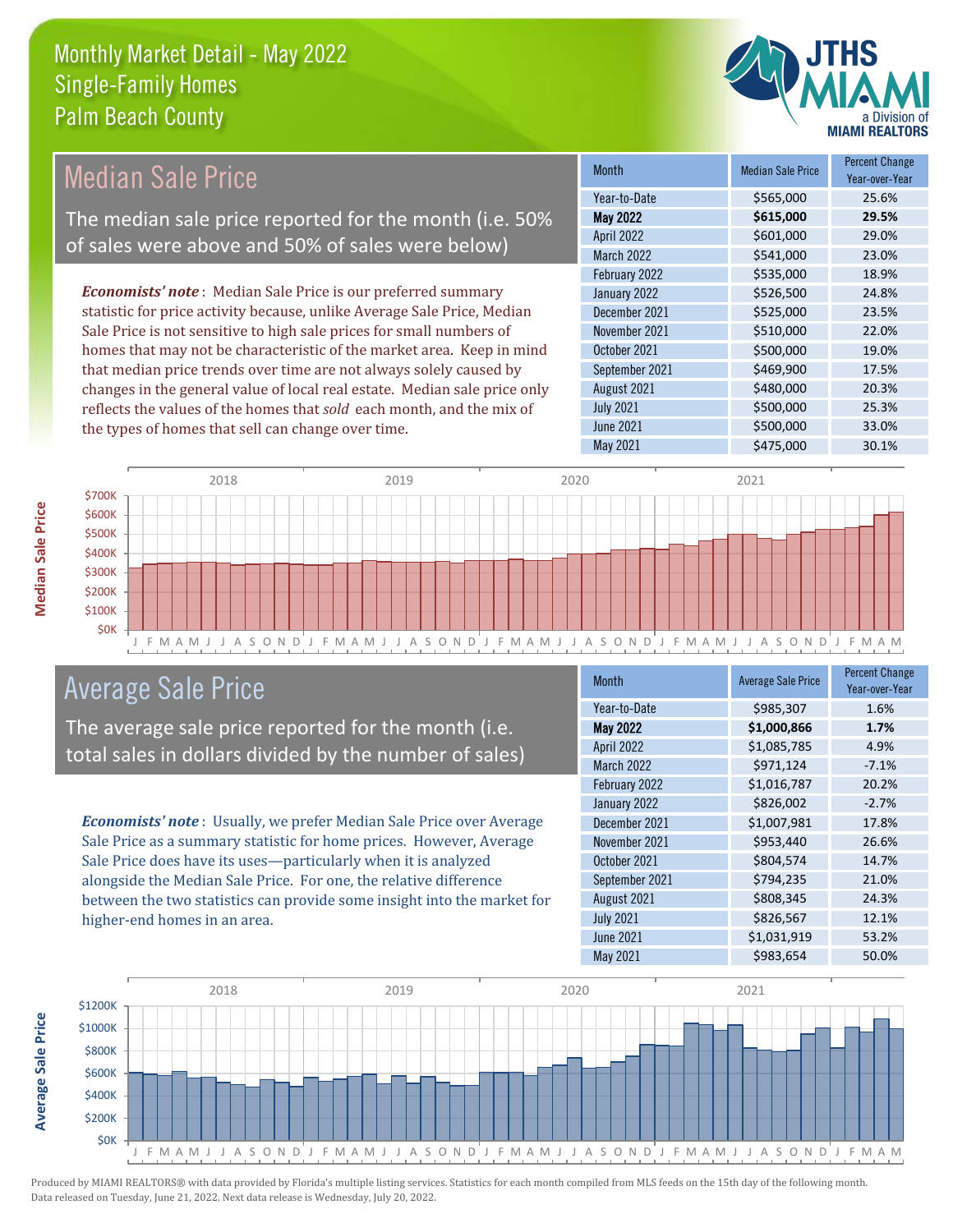

# Median Sale Price

The median sale price reported for the month (i.e. 50% of sales were above and 50% of sales were below)

*Economists' note* : Median Sale Price is our preferred summary statistic for price activity because, unlike Average Sale Price, Median Sale Price is not sensitive to high sale prices for small numbers of homes that may not be characteristic of the market area. Keep in mind that median price trends over time are not always solely caused by changes in the general value of local real estate. Median sale price only reflects the values of the homes that *sold* each month, and the mix of the types of homes that sell can change over time.

| <b>Month</b>     | <b>Median Sale Price</b> | <b>Percent Change</b><br>Year-over-Year |
|------------------|--------------------------|-----------------------------------------|
| Year-to-Date     | \$565,000                | 25.6%                                   |
| <b>May 2022</b>  | \$615,000                | 29.5%                                   |
| April 2022       | \$601,000                | 29.0%                                   |
| March 2022       | \$541,000                | 23.0%                                   |
| February 2022    | \$535,000                | 18.9%                                   |
| January 2022     | \$526,500                | 24.8%                                   |
| December 2021    | \$525,000                | 23.5%                                   |
| November 2021    | \$510,000                | 22.0%                                   |
| October 2021     | \$500,000                | 19.0%                                   |
| September 2021   | \$469,900                | 17.5%                                   |
| August 2021      | \$480,000                | 20.3%                                   |
| <b>July 2021</b> | \$500,000                | 25.3%                                   |
| <b>June 2021</b> | \$500,000                | 33.0%                                   |
| <b>May 2021</b>  | \$475,000                | 30.1%                                   |



### Average Sale Price

The average sale price reported for the month (i.e. total sales in dollars divided by the number of sales)

*Economists' note* : Usually, we prefer Median Sale Price over Average Sale Price as a summary statistic for home prices. However, Average Sale Price does have its uses—particularly when it is analyzed alongside the Median Sale Price. For one, the relative difference between the two statistics can provide some insight into the market for higher-end homes in an area.

| <b>Month</b>      | <b>Average Sale Price</b> | <b>Percent Change</b><br>Year-over-Year |
|-------------------|---------------------------|-----------------------------------------|
| Year-to-Date      | \$985,307                 | 1.6%                                    |
| <b>May 2022</b>   | \$1,000,866               | 1.7%                                    |
| April 2022        | \$1,085,785               | 4.9%                                    |
| <b>March 2022</b> | \$971,124                 | $-7.1%$                                 |
| February 2022     | \$1,016,787               | 20.2%                                   |
| January 2022      | \$826,002                 | $-2.7%$                                 |
| December 2021     | \$1,007,981               | 17.8%                                   |
| November 2021     | \$953,440                 | 26.6%                                   |
| October 2021      | \$804,574                 | 14.7%                                   |
| September 2021    | \$794,235                 | 21.0%                                   |
| August 2021       | \$808,345                 | 24.3%                                   |
| <b>July 2021</b>  | \$826,567                 | 12.1%                                   |
| <b>June 2021</b>  | \$1,031,919               | 53.2%                                   |
| May 2021          | \$983,654                 | 50.0%                                   |



**Median Sale Price**

**Median Sale Price** 

**Average Sale Price**

**Average Sale Price**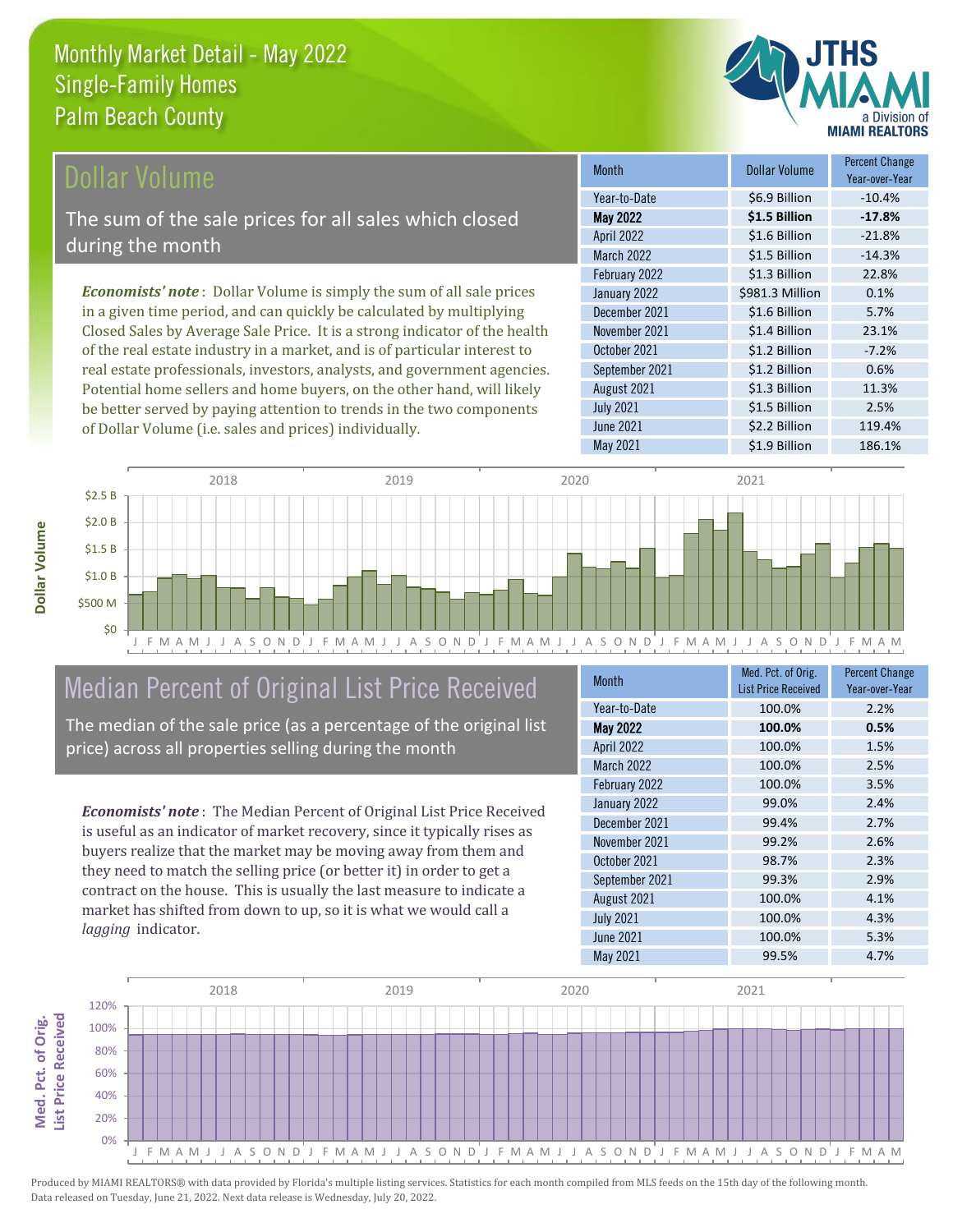

# Dollar Volume

The sum of the sale prices for all sales which closed during the month

*Economists' note* : Dollar Volume is simply the sum of all sale prices in a given time period, and can quickly be calculated by multiplying Closed Sales by Average Sale Price. It is a strong indicator of the health of the real estate industry in a market, and is of particular interest to real estate professionals, investors, analysts, and government agencies. Potential home sellers and home buyers, on the other hand, will likely be better served by paying attention to trends in the two components of Dollar Volume (i.e. sales and prices) individually.

| <b>Month</b>      | <b>Dollar Volume</b> | <b>Percent Change</b><br>Year-over-Year |
|-------------------|----------------------|-----------------------------------------|
| Year-to-Date      | \$6.9 Billion        | $-10.4%$                                |
| <b>May 2022</b>   | \$1.5 Billion        | $-17.8%$                                |
| <b>April 2022</b> | \$1.6 Billion        | $-21.8%$                                |
| <b>March 2022</b> | \$1.5 Billion        | $-14.3%$                                |
| February 2022     | \$1.3 Billion        | 22.8%                                   |
| January 2022      | \$981.3 Million      | 0.1%                                    |
| December 2021     | \$1.6 Billion        | 5.7%                                    |
| November 2021     | \$1.4 Billion        | 23.1%                                   |
| October 2021      | \$1.2 Billion        | $-7.2%$                                 |
| September 2021    | \$1.2 Billion        | 0.6%                                    |
| August 2021       | \$1.3 Billion        | 11.3%                                   |
| <b>July 2021</b>  | \$1.5 Billion        | 2.5%                                    |
| <b>June 2021</b>  | \$2.2 Billion        | 119.4%                                  |
| May 2021          | \$1.9 Billion        | 186.1%                                  |



# Median Percent of Original List Price Received

The median of the sale price (as a percentage of the original list price) across all properties selling during the month

*Economists' note* : The Median Percent of Original List Price Received is useful as an indicator of market recovery, since it typically rises as buyers realize that the market may be moving away from them and they need to match the selling price (or better it) in order to get a contract on the house. This is usually the last measure to indicate a market has shifted from down to up, so it is what we would call a *lagging* indicator.

| Month             | Med. Pct. of Orig.<br><b>List Price Received</b> | <b>Percent Change</b><br>Year-over-Year |
|-------------------|--------------------------------------------------|-----------------------------------------|
| Year-to-Date      | 100.0%                                           | 2.2%                                    |
| <b>May 2022</b>   | 100.0%                                           | 0.5%                                    |
| April 2022        | 100.0%                                           | 1.5%                                    |
| <b>March 2022</b> | 100.0%                                           | 2.5%                                    |
| February 2022     | 100.0%                                           | 3.5%                                    |
| January 2022      | 99.0%                                            | 2.4%                                    |
| December 2021     | 99.4%                                            | 2.7%                                    |
| November 2021     | 99.2%                                            | 2.6%                                    |
| October 2021      | 98.7%                                            | 2.3%                                    |
| September 2021    | 99.3%                                            | 2.9%                                    |
| August 2021       | 100.0%                                           | 4.1%                                    |
| <b>July 2021</b>  | 100.0%                                           | 4.3%                                    |
| <b>June 2021</b>  | 100.0%                                           | 5.3%                                    |
| May 2021          | 99.5%                                            | 4.7%                                    |

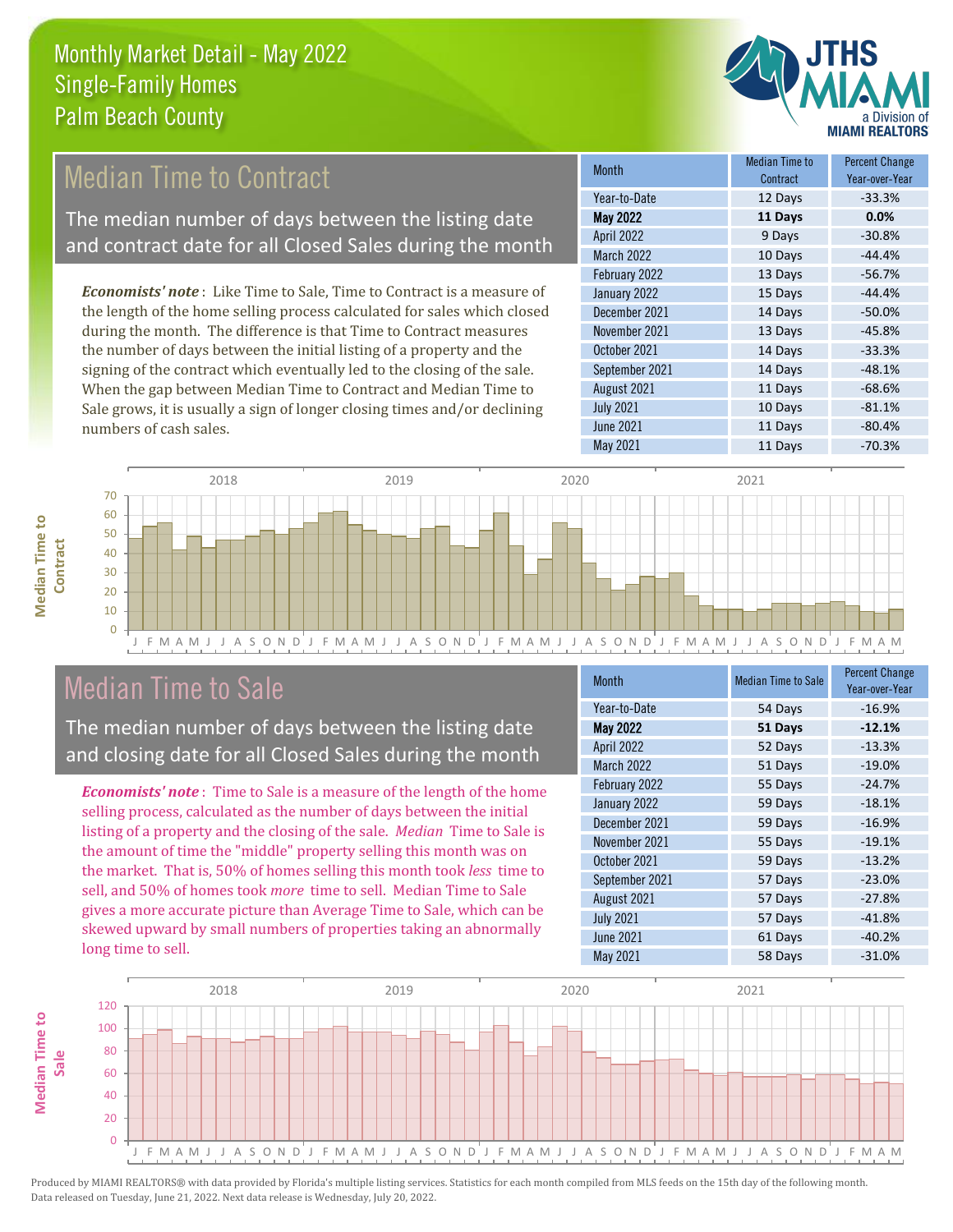

# Median Time to Contract

The median number of days between the listing date and contract date for all Closed Sales during the month

*Economists' note* : Like Time to Sale, Time to Contract is a measure of the length of the home selling process calculated for sales which closed during the month. The difference is that Time to Contract measures the number of days between the initial listing of a property and the signing of the contract which eventually led to the closing of the sale. When the gap between Median Time to Contract and Median Time to Sale grows, it is usually a sign of longer closing times and/or declining numbers of cash sales.

| Month             | <b>Median Time to</b><br>Contract | <b>Percent Change</b><br>Year-over-Year |
|-------------------|-----------------------------------|-----------------------------------------|
| Year-to-Date      | 12 Days                           | $-33.3%$                                |
| <b>May 2022</b>   | 11 Days                           | 0.0%                                    |
| <b>April 2022</b> | 9 Days                            | $-30.8%$                                |
| March 2022        | 10 Days                           | $-44.4%$                                |
| February 2022     | 13 Days                           | $-56.7%$                                |
| January 2022      | 15 Days                           | $-44.4%$                                |
| December 2021     | 14 Days                           | $-50.0%$                                |
| November 2021     | 13 Days                           | $-45.8%$                                |
| October 2021      | 14 Days                           | $-33.3%$                                |
| September 2021    | 14 Days                           | $-48.1%$                                |
| August 2021       | 11 Days                           | $-68.6%$                                |
| <b>July 2021</b>  | 10 Days                           | $-81.1%$                                |
| June 2021         | 11 Days                           | $-80.4%$                                |
| May 2021          | 11 Days                           | $-70.3%$                                |



## Median Time to Sale

**Median Time to** 

**Median Time to** 

The median number of days between the listing date and closing date for all Closed Sales during the month

*Economists' note* : Time to Sale is a measure of the length of the home selling process, calculated as the number of days between the initial listing of a property and the closing of the sale. *Median* Time to Sale is the amount of time the "middle" property selling this month was on the market. That is, 50% of homes selling this month took *less* time to sell, and 50% of homes took *more* time to sell. Median Time to Sale gives a more accurate picture than Average Time to Sale, which can be skewed upward by small numbers of properties taking an abnormally long time to sell.

| <b>Month</b>      | <b>Median Time to Sale</b> | <b>Percent Change</b><br>Year-over-Year |
|-------------------|----------------------------|-----------------------------------------|
| Year-to-Date      | 54 Days                    | $-16.9%$                                |
| <b>May 2022</b>   | 51 Days                    | $-12.1%$                                |
| April 2022        | 52 Days                    | $-13.3%$                                |
| <b>March 2022</b> | 51 Days                    | $-19.0%$                                |
| February 2022     | 55 Days                    | $-24.7%$                                |
| January 2022      | 59 Days                    | $-18.1%$                                |
| December 2021     | 59 Days                    | $-16.9%$                                |
| November 2021     | 55 Days                    | $-19.1%$                                |
| October 2021      | 59 Days                    | $-13.2%$                                |
| September 2021    | 57 Days                    | $-23.0%$                                |
| August 2021       | 57 Days                    | $-27.8%$                                |
| <b>July 2021</b>  | 57 Days                    | $-41.8%$                                |
| June 2021         | 61 Days                    | $-40.2%$                                |
| May 2021          | 58 Days                    | $-31.0%$                                |

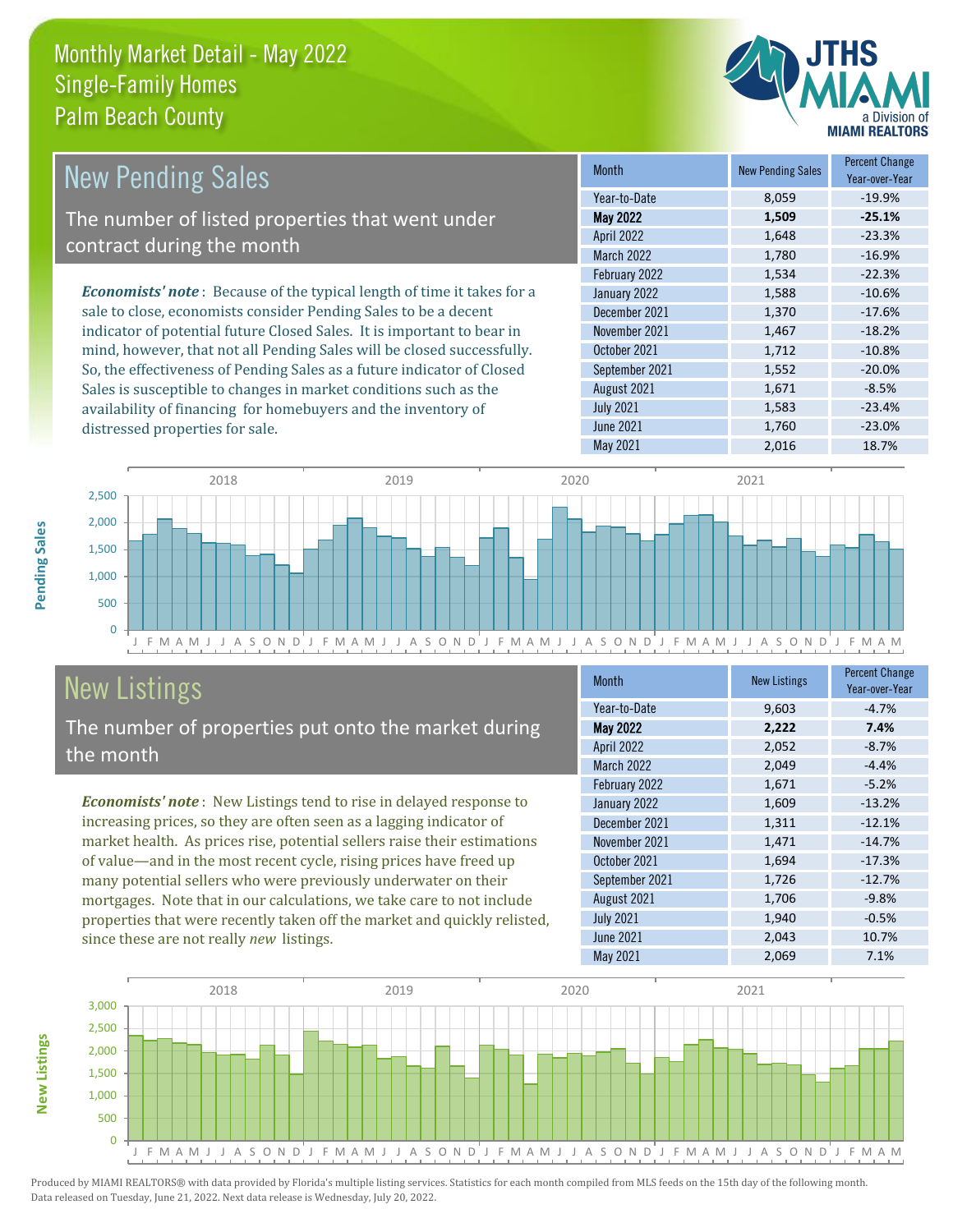

| <b>New Pending Sales</b>                                                       | <b>Month</b>      | <b>New Pending Sales</b> | <b>Percent Change</b><br>Year-over-Year |
|--------------------------------------------------------------------------------|-------------------|--------------------------|-----------------------------------------|
|                                                                                | Year-to-Date      | 8,059                    | $-19.9%$                                |
| The number of listed properties that went under                                | May 2022          | 1,509                    | $-25.1%$                                |
| contract during the month                                                      | <b>April 2022</b> | 1,648                    | $-23.3%$                                |
|                                                                                | <b>March 2022</b> | 1,780                    | $-16.9%$                                |
|                                                                                | February 2022     | 1,534                    | $-22.3%$                                |
| <b>Economists' note</b> : Because of the typical length of time it takes for a | January 2022      | 1,588                    | $-10.6%$                                |
| sale to close, economists consider Pending Sales to be a decent                | December 2021     | 1.370                    | $-17.6%$                                |
| indicator of potential future Closed Sales. It is important to bear in         | November 2021     | 1,467                    | $-18.2%$                                |
| mind, however, that not all Pending Sales will be closed successfully.         | October 2021      | 1,712                    | $-10.8%$                                |
| So, the effectiveness of Pending Sales as a future indicator of Closed         | September 2021    | 1,552                    | $-20.0%$                                |

Sales is susceptible to changes in market conditions such as the availability of financing for homebuyers and the inventory of distressed properties for sale.





# New Listings

The number of properties put onto the market during the month

*Economists' note* : New Listings tend to rise in delayed response to increasing prices, so they are often seen as a lagging indicator of market health. As prices rise, potential sellers raise their estimations of value—and in the most recent cycle, rising prices have freed up many potential sellers who were previously underwater on their mortgages. Note that in our calculations, we take care to not include properties that were recently taken off the market and quickly relisted, since these are not really *new* listings.

| <b>Month</b>      | <b>New Listings</b> | <b>Percent Change</b><br>Year-over-Year |
|-------------------|---------------------|-----------------------------------------|
| Year-to-Date      | 9,603               | $-4.7%$                                 |
| <b>May 2022</b>   | 2,222               | 7.4%                                    |
| <b>April 2022</b> | 2,052               | $-8.7%$                                 |
| <b>March 2022</b> | 2,049               | $-4.4%$                                 |
| February 2022     | 1,671               | $-5.2%$                                 |
| January 2022      | 1,609               | $-13.2%$                                |
| December 2021     | 1,311               | $-12.1%$                                |
| November 2021     | 1,471               | $-14.7%$                                |
| October 2021      | 1,694               | $-17.3%$                                |
| September 2021    | 1,726               | $-12.7%$                                |
| August 2021       | 1,706               | $-9.8%$                                 |
| <b>July 2021</b>  | 1,940               | $-0.5%$                                 |
| June 2021         | 2,043               | 10.7%                                   |
| May 2021          | 2,069               | 7.1%                                    |



**Pending Sales**

Pending Sales

**New Listings**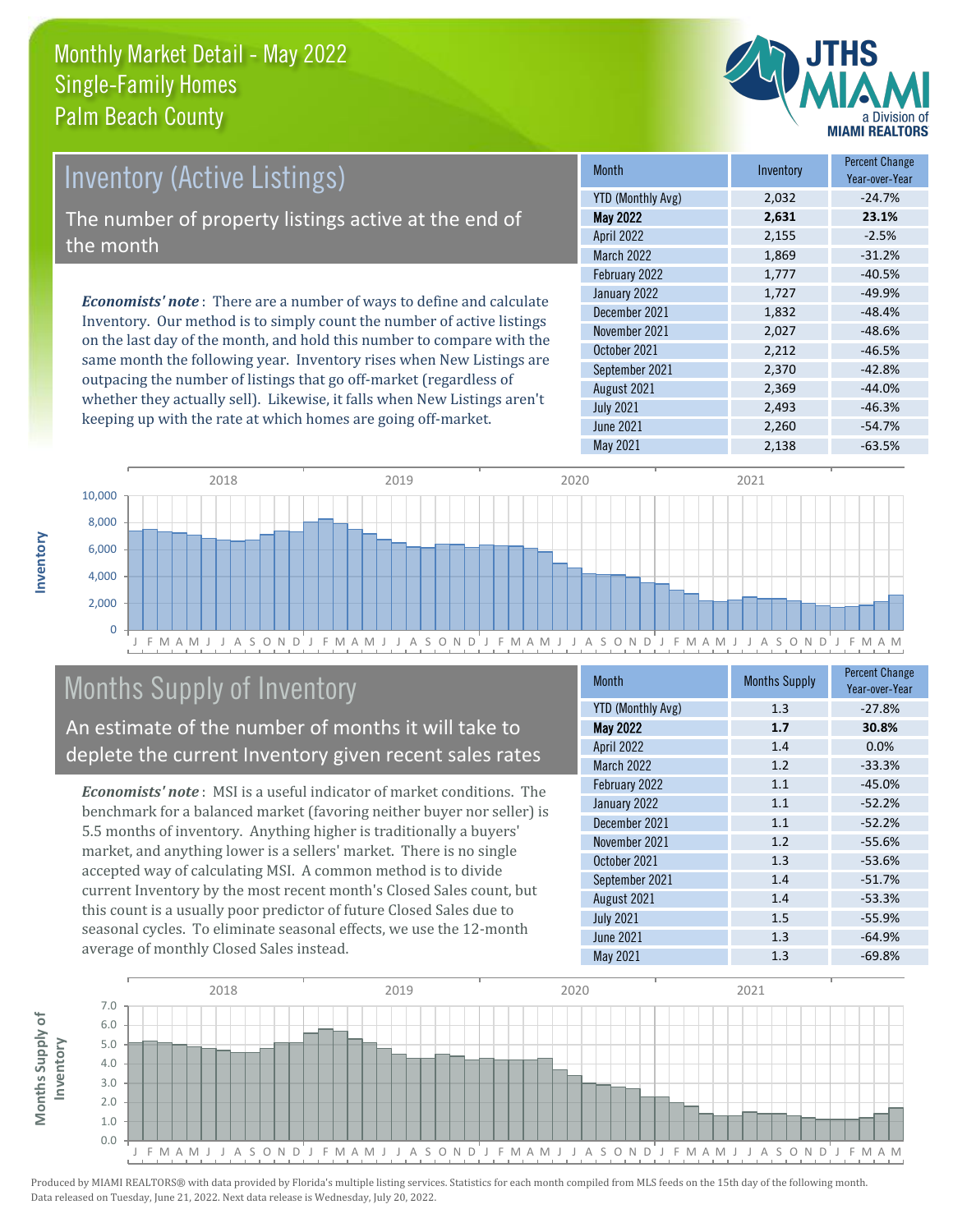

# Inventory (Active Listings)

The number of property listings active at the end of the month

*Economists' note* : There are a number of ways to define and calculate Inventory. Our method is to simply count the number of active listings on the last day of the month, and hold this number to compare with the same month the following year. Inventory rises when New Listings are outpacing the number of listings that go off-market (regardless of whether they actually sell). Likewise, it falls when New Listings aren't keeping up with the rate at which homes are going off-market.

| <b>Month</b>             | Inventory | <b>Percent Change</b><br>Year-over-Year |
|--------------------------|-----------|-----------------------------------------|
| <b>YTD (Monthly Avg)</b> | 2,032     | $-24.7%$                                |
| <b>May 2022</b>          | 2,631     | 23.1%                                   |
| April 2022               | 2,155     | $-2.5%$                                 |
| <b>March 2022</b>        | 1,869     | $-31.2%$                                |
| February 2022            | 1,777     | $-40.5%$                                |
| January 2022             | 1,727     | $-49.9%$                                |
| December 2021            | 1,832     | $-48.4%$                                |
| November 2021            | 2,027     | $-48.6%$                                |
| October 2021             | 2,212     | $-46.5%$                                |
| September 2021           | 2,370     | $-42.8%$                                |
| August 2021              | 2,369     | $-44.0%$                                |
| <b>July 2021</b>         | 2,493     | $-46.3%$                                |
| June 2021                | 2,260     | $-54.7%$                                |
| May 2021                 | 2,138     | $-63.5%$                                |



# Months Supply of Inventory

An estimate of the number of months it will take to deplete the current Inventory given recent sales rates

*Economists' note* : MSI is a useful indicator of market conditions. The benchmark for a balanced market (favoring neither buyer nor seller) is 5.5 months of inventory. Anything higher is traditionally a buyers' market, and anything lower is a sellers' market. There is no single accepted way of calculating MSI. A common method is to divide current Inventory by the most recent month's Closed Sales count, but this count is a usually poor predictor of future Closed Sales due to seasonal cycles. To eliminate seasonal effects, we use the 12-month average of monthly Closed Sales instead.

| Month                    | <b>Months Supply</b> | <b>Percent Change</b><br>Year-over-Year |
|--------------------------|----------------------|-----------------------------------------|
| <b>YTD (Monthly Avg)</b> | 1.3                  | $-27.8%$                                |
| <b>May 2022</b>          | 1.7                  | 30.8%                                   |
| April 2022               | 1.4                  | 0.0%                                    |
| March 2022               | 1.2                  | $-33.3%$                                |
| February 2022            | 1.1                  | $-45.0%$                                |
| January 2022             | 1.1                  | $-52.2%$                                |
| December 2021            | 1.1                  | $-52.2%$                                |
| November 2021            | 1.2                  | $-55.6%$                                |
| October 2021             | 1.3                  | $-53.6%$                                |
| September 2021           | 1.4                  | $-51.7%$                                |
| August 2021              | 1.4                  | $-53.3%$                                |
| <b>July 2021</b>         | 1.5                  | $-55.9%$                                |
| <b>June 2021</b>         | 1.3                  | $-64.9%$                                |
| May 2021                 | 1.3                  | $-69.8%$                                |

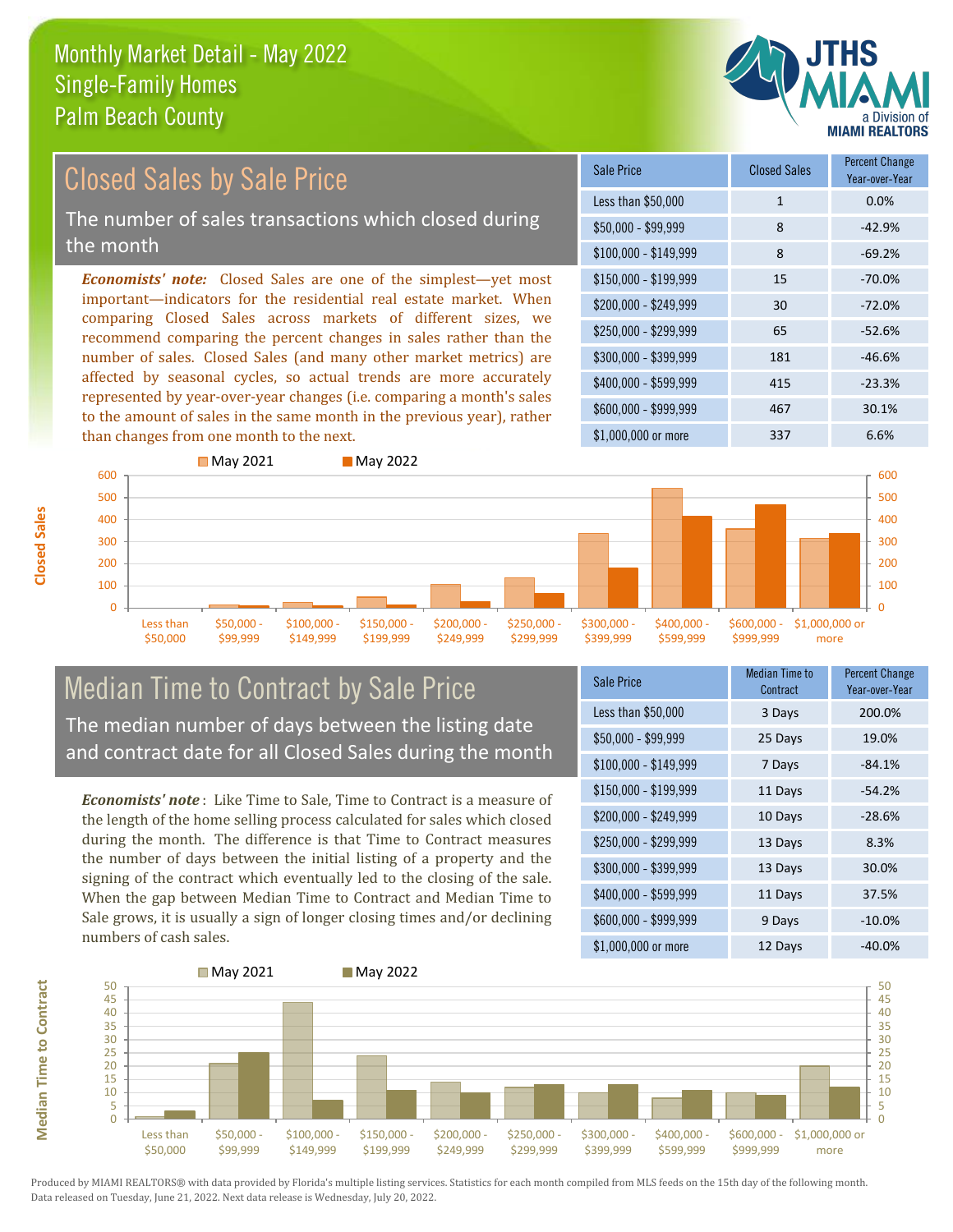

#### *Economists' note:* Closed Sales are one of the simplest—yet most important—indicators for the residential real estate market. When comparing Closed Sales across markets of different sizes, we recommend comparing the percent changes in sales rather than the number of sales. Closed Sales (and many other market metrics) are \$250,000 - \$299,999 65 -52.6% \$300,000 - \$399,999 181 -46.6% \$150,000 - \$199,999 15 -70.0% \$200,000 - \$249,999 30 -72.0% \$100,000 - \$149,999 8 -69.2% Sale Price Closed Sales Percent Change Year-over-Year Less than \$50,000 1 1 0.0%  $$50.000 - $99.999$  8 -42.9% Closed Sales by Sale Price The number of sales transactions which closed during the month

affected by seasonal cycles, so actual trends are more accurately represented by year-over-year changes (i.e. comparing a month's sales to the amount of sales in the same month in the previous year), rather than changes from one month to the next.





#### Median Time to Contract by Sale Price The median number of days between the listing date and contract date for all Closed Sales during the month

*Economists' note* : Like Time to Sale, Time to Contract is a measure of the length of the home selling process calculated for sales which closed during the month. The difference is that Time to Contract measures the number of days between the initial listing of a property and the signing of the contract which eventually led to the closing of the sale. When the gap between Median Time to Contract and Median Time to Sale grows, it is usually a sign of longer closing times and/or declining numbers of cash sales.

| <b>Sale Price</b>     | Median Time to<br>Contract | <b>Percent Change</b><br>Year-over-Year |
|-----------------------|----------------------------|-----------------------------------------|
| Less than \$50,000    | 3 Days                     | 200.0%                                  |
| $$50,000 - $99,999$   | 25 Days                    | 19.0%                                   |
| $$100,000 - $149,999$ | 7 Days                     | $-84.1%$                                |
| $$150,000 - $199,999$ | 11 Days                    | $-54.2%$                                |
| \$200,000 - \$249,999 | 10 Days                    | $-28.6%$                                |
| \$250,000 - \$299,999 | 13 Days                    | 8.3%                                    |
| \$300,000 - \$399,999 | 13 Days                    | 30.0%                                   |
| \$400,000 - \$599,999 | 11 Days                    | 37.5%                                   |
| \$600,000 - \$999,999 | 9 Days                     | $-10.0%$                                |
| \$1,000,000 or more   | 12 Days                    | $-40.0%$                                |



Produced by MIAMI REALTORS® with data provided by Florida's multiple listing services. Statistics for each month compiled from MLS feeds on the 15th day of the following month. Data released on Tuesday, June 21, 2022. Next data release is Wednesday, July 20, 2022.

**Median Time to Contract**

**Median Time to Contract**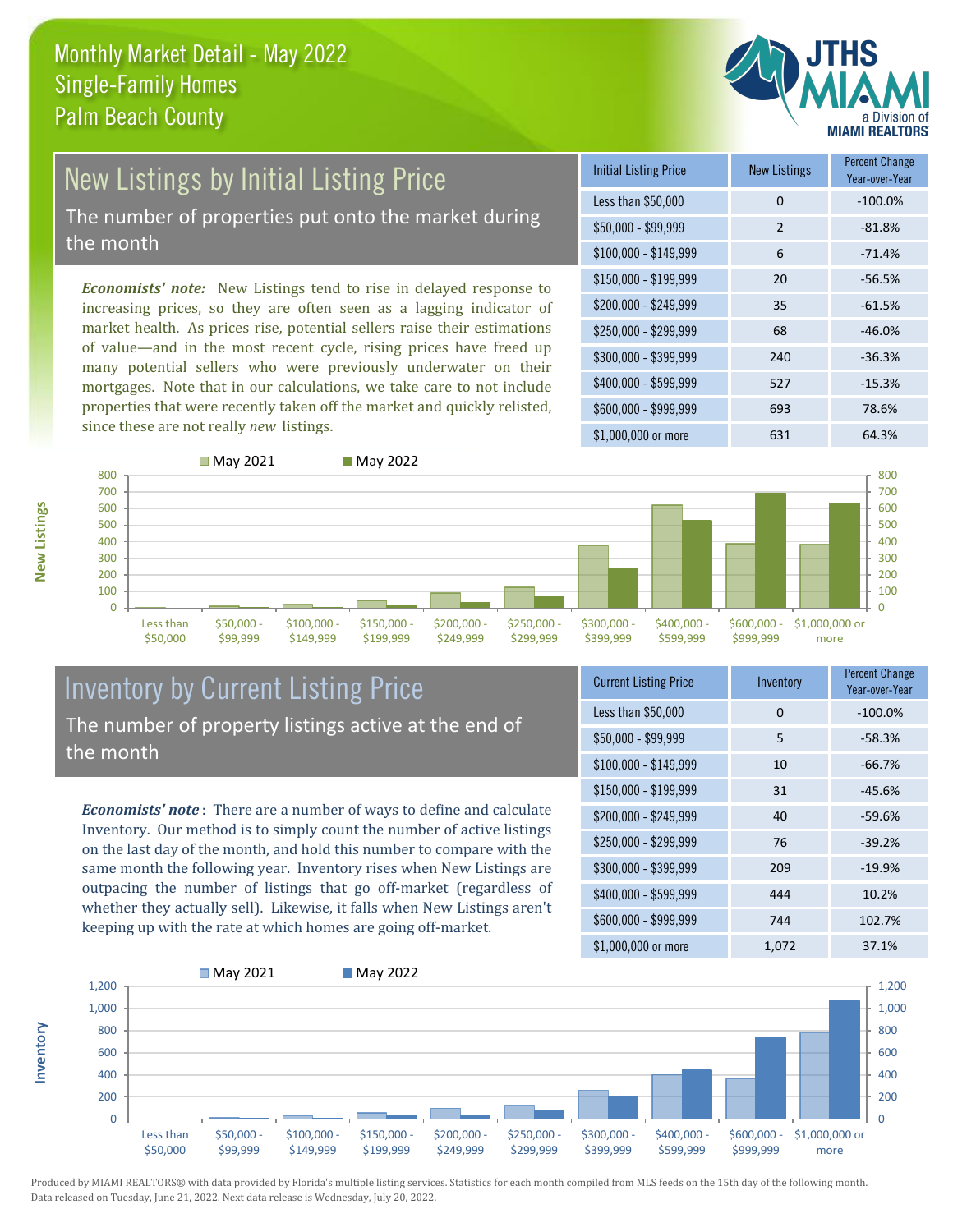

# New Listings by Initial Listing Price

The number of properties put onto the market during the month

*Economists' note:* New Listings tend to rise in delayed response to increasing prices, so they are often seen as a lagging indicator of market health. As prices rise, potential sellers raise their estimations of value—and in the most recent cycle, rising prices have freed up many potential sellers who were previously underwater on their mortgages. Note that in our calculations, we take care to not include properties that were recently taken off the market and quickly relisted, since these are not really *new* listings.

| <b>Initial Listing Price</b> | <b>New Listings</b> | <b>Percent Change</b><br>Year-over-Year |
|------------------------------|---------------------|-----------------------------------------|
| Less than \$50,000           | 0                   | $-100.0%$                               |
| $$50,000 - $99,999$          | $\overline{2}$      | $-81.8%$                                |
| $$100,000 - $149,999$        | 6                   | $-71.4%$                                |
| $$150,000 - $199,999$        | 20                  | $-56.5%$                                |
| \$200,000 - \$249,999        | 35                  | $-61.5%$                                |
| \$250,000 - \$299,999        | 68                  | $-46.0%$                                |
| \$300,000 - \$399,999        | 240                 | $-36.3%$                                |
| \$400,000 - \$599,999        | 527                 | $-15.3%$                                |
| \$600,000 - \$999,999        | 693                 | 78.6%                                   |
| \$1,000,000 or more          | 631                 | 64.3%                                   |



#### Inventory by Current Listing Price The number of property listings active at the end of the month

*Economists' note* : There are a number of ways to define and calculate Inventory. Our method is to simply count the number of active listings on the last day of the month, and hold this number to compare with the same month the following year. Inventory rises when New Listings are outpacing the number of listings that go off-market (regardless of whether they actually sell). Likewise, it falls when New Listings aren't keeping up with the rate at which homes are going off-market.

| <b>Current Listing Price</b> | Inventory | <b>Percent Change</b><br>Year-over-Year |
|------------------------------|-----------|-----------------------------------------|
| Less than \$50,000           | 0         | $-100.0%$                               |
| $$50,000 - $99,999$          | 5         | $-58.3%$                                |
| $$100,000 - $149,999$        | 10        | $-66.7%$                                |
| $$150,000 - $199,999$        | 31        | $-45.6%$                                |
| \$200,000 - \$249,999        | 40        | $-59.6%$                                |
| \$250,000 - \$299,999        | 76        | $-39.2%$                                |
| \$300,000 - \$399,999        | 209       | $-19.9%$                                |
| $$400,000 - $599,999$        | 444       | 10.2%                                   |
| \$600,000 - \$999,999        | 744       | 102.7%                                  |
| \$1,000,000 or more          | 1,072     | 37.1%                                   |



Produced by MIAMI REALTORS® with data provided by Florida's multiple listing services. Statistics for each month compiled from MLS feeds on the 15th day of the following month. Data released on Tuesday, June 21, 2022. Next data release is Wednesday, July 20, 2022.

**Inventory**